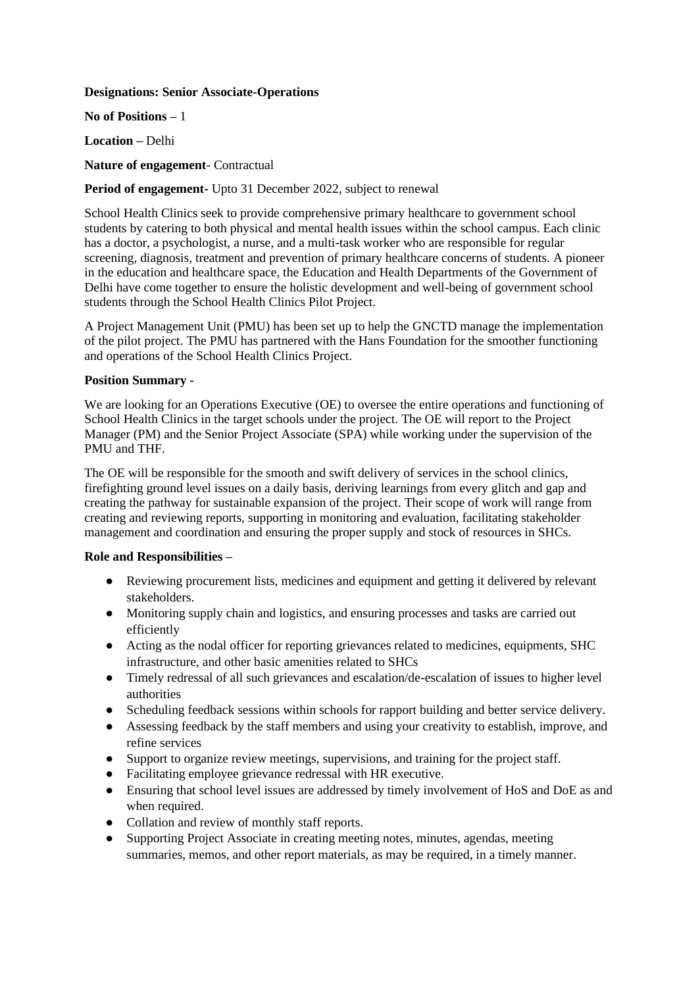#### **Designations: Senior Associate-Operations**

**No of Positions –** 1

**Location –** Delhi

**Nature of engagement**- Contractual

# **Period of engagement-** Upto 31 December 2022, subject to renewal

School Health Clinics seek to provide comprehensive primary healthcare to government school students by catering to both physical and mental health issues within the school campus. Each clinic has a doctor, a psychologist, a nurse, and a multi-task worker who are responsible for regular screening, diagnosis, treatment and prevention of primary healthcare concerns of students. A pioneer in the education and healthcare space, the Education and Health Departments of the Government of Delhi have come together to ensure the holistic development and well-being of government school students through the School Health Clinics Pilot Project.

A Project Management Unit (PMU) has been set up to help the GNCTD manage the implementation of the pilot project. The PMU has partnered with the Hans Foundation for the smoother functioning and operations of the School Health Clinics Project.

### **Position Summary -**

We are looking for an Operations Executive (OE) to oversee the entire operations and functioning of School Health Clinics in the target schools under the project. The OE will report to the Project Manager (PM) and the Senior Project Associate (SPA) while working under the supervision of the PMU and THF.

The OE will be responsible for the smooth and swift delivery of services in the school clinics, firefighting ground level issues on a daily basis, deriving learnings from every glitch and gap and creating the pathway for sustainable expansion of the project. Their scope of work will range from creating and reviewing reports, supporting in monitoring and evaluation, facilitating stakeholder management and coordination and ensuring the proper supply and stock of resources in SHCs.

#### **Role and Responsibilities –**

- Reviewing procurement lists, medicines and equipment and getting it delivered by relevant stakeholders.
- Monitoring supply chain and logistics, and ensuring processes and tasks are carried out efficiently
- Acting as the nodal officer for reporting grievances related to medicines, equipments, SHC infrastructure, and other basic amenities related to SHCs
- Timely redressal of all such grievances and escalation/de-escalation of issues to higher level authorities
- Scheduling feedback sessions within schools for rapport building and better service delivery.
- Assessing feedback by the staff members and using your creativity to establish, improve, and refine services
- Support to organize review meetings, supervisions, and training for the project staff.
- Facilitating employee grievance redressal with HR executive.
- Ensuring that school level issues are addressed by timely involvement of HoS and DoE as and when required.
- Collation and review of monthly staff reports.
- Supporting Project Associate in creating meeting notes, minutes, agendas, meeting summaries, memos, and other report materials, as may be required, in a timely manner.